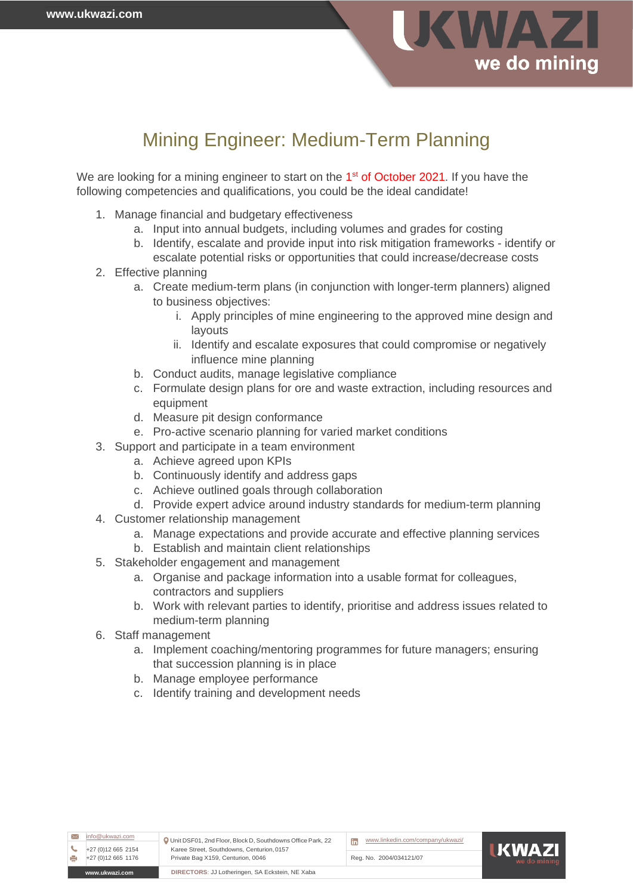

# Mining Engineer: Medium-Term Planning

We are looking for a mining engineer to start on the 1<sup>st</sup> of October 2021. If you have the following competencies and qualifications, you could be the ideal candidate!

- 1. Manage financial and budgetary effectiveness
	- a. Input into annual budgets, including volumes and grades for costing
	- b. Identify, escalate and provide input into risk mitigation frameworks identify or escalate potential risks or opportunities that could increase/decrease costs
- 2. Effective planning
	- a. Create medium-term plans (in conjunction with longer-term planners) aligned to business objectives:
		- i. Apply principles of mine engineering to the approved mine design and layouts
		- ii. Identify and escalate exposures that could compromise or negatively influence mine planning
	- b. Conduct audits, manage legislative compliance
	- c. Formulate design plans for ore and waste extraction, including resources and equipment
	- d. Measure pit design conformance
	- e. Pro-active scenario planning for varied market conditions
- 3. Support and participate in a team environment
	- a. Achieve agreed upon KPIs
	- b. Continuously identify and address gaps
	- c. Achieve outlined goals through collaboration
	- d. Provide expert advice around industry standards for medium-term planning
- 4. Customer relationship management
	- a. Manage expectations and provide accurate and effective planning services
	- b. Establish and maintain client relationships
- 5. Stakeholder engagement and management
	- a. Organise and package information into a usable format for colleagues, contractors and suppliers
	- b. Work with relevant parties to identify, prioritise and address issues related to medium-term planning
- 6. Staff management
	- a. Implement coaching/mentoring programmes for future managers; ensuring that succession planning is in place
	- b. Manage employee performance
	- c. Identify training and development needs